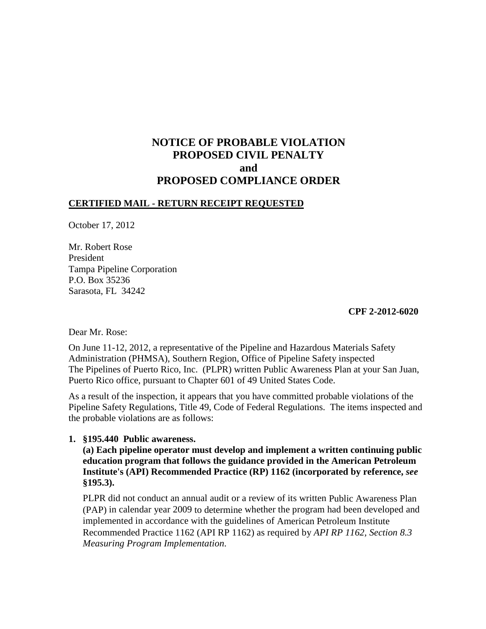# **NOTICE OF PROBABLE VIOLATION PROPOSED CIVIL PENALTY and PROPOSED COMPLIANCE ORDER**

# **CERTIFIED MAIL - RETURN RECEIPT REQUESTED**

October 17, 2012

Mr. Robert Rose President Tampa Pipeline Corporation P.O. Box 35236 Sarasota, FL 34242

**CPF 2-2012-6020**

Dear Mr. Rose:

On June 11-12, 2012, a representative of the Pipeline and Hazardous Materials Safety Administration (PHMSA), Southern Region, Office of Pipeline Safety inspected The Pipelines of Puerto Rico, Inc. (PLPR) written Public Awareness Plan at your San Juan, Puerto Rico office, pursuant to Chapter 601 of 49 United States Code.

As a result of the inspection, it appears that you have committed probable violations of the Pipeline Safety Regulations, Title 49, Code of Federal Regulations. The items inspected and the probable violations are as follows:

## **1. §195.440 Public awareness.**

**(a) Each pipeline operator must develop and implement a written continuing public education program that follows the guidance provided in the American Petroleum Institute's (API) Recommended Practice (RP) 1162 (incorporated by reference,** *see*  **§195.3).** 

PLPR did not conduct an annual audit or a review of its written Public Awareness Plan (PAP) in calendar year 2009 to determine whether the program had been developed and implemented in accordance with the guidelines of American Petroleum Institute Recommended Practice 1162 (API RP 1162) as required by *API RP 1162, Section 8.3 Measuring Program Implementation*.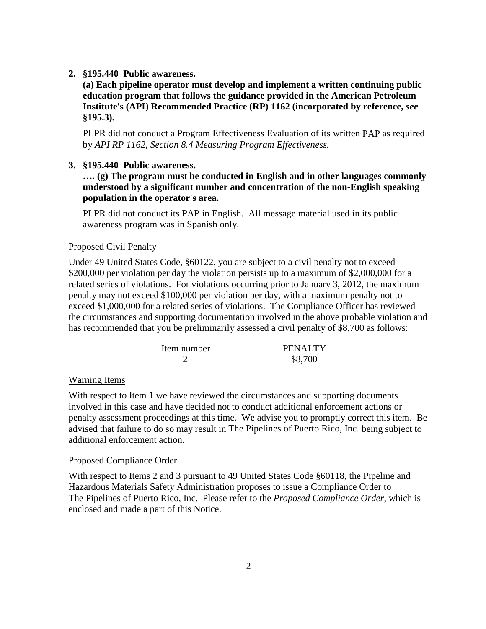**2. §195.440 Public awareness.** 

**(a) Each pipeline operator must develop and implement a written continuing public education program that follows the guidance provided in the American Petroleum Institute's (API) Recommended Practice (RP) 1162 (incorporated by reference,** *see*  **§195.3).** 

PLPR did not conduct a Program Effectiveness Evaluation of its written PAP as required by *API RP 1162, Section 8.4 Measuring Program Effectiveness.*

## **3. §195.440 Public awareness.**

**…. (g) The program must be conducted in English and in other languages commonly understood by a significant number and concentration of the non-English speaking population in the operator's area.**

PLPR did not conduct its PAP in English. All message material used in its public awareness program was in Spanish only.

## Proposed Civil Penalty

Under 49 United States Code, §60122, you are subject to a civil penalty not to exceed \$200,000 per violation per day the violation persists up to a maximum of \$2,000,000 for a related series of violations. For violations occurring prior to January 3, 2012, the maximum penalty may not exceed \$100,000 per violation per day, with a maximum penalty not to exceed \$1,000,000 for a related series of violations. The Compliance Officer has reviewed the circumstances and supporting documentation involved in the above probable violation and has recommended that you be preliminarily assessed a civil penalty of \$8,700 as follows:

| Item number | <b>PENALTY</b> |
|-------------|----------------|
|             | \$8,700        |

### Warning Items

With respect to Item 1 we have reviewed the circumstances and supporting documents involved in this case and have decided not to conduct additional enforcement actions or penalty assessment proceedings at this time. We advise you to promptly correct this item. Be advised that failure to do so may result in The Pipelines of Puerto Rico, Inc. being subject to additional enforcement action.

#### Proposed Compliance Order

With respect to Items 2 and 3 pursuant to 49 United States Code §60118, the Pipeline and Hazardous Materials Safety Administration proposes to issue a Compliance Order to The Pipelines of Puerto Rico, Inc. Please refer to the *Proposed Compliance Order*, which is enclosed and made a part of this Notice.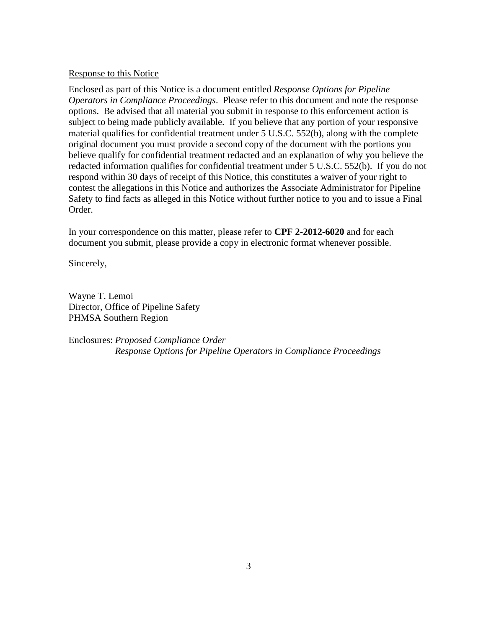### Response to this Notice

Enclosed as part of this Notice is a document entitled *Response Options for Pipeline Operators in Compliance Proceedings*. Please refer to this document and note the response options. Be advised that all material you submit in response to this enforcement action is subject to being made publicly available. If you believe that any portion of your responsive material qualifies for confidential treatment under 5 U.S.C. 552(b), along with the complete original document you must provide a second copy of the document with the portions you believe qualify for confidential treatment redacted and an explanation of why you believe the redacted information qualifies for confidential treatment under 5 U.S.C. 552(b). If you do not respond within 30 days of receipt of this Notice, this constitutes a waiver of your right to contest the allegations in this Notice and authorizes the Associate Administrator for Pipeline Safety to find facts as alleged in this Notice without further notice to you and to issue a Final Order.

In your correspondence on this matter, please refer to **CPF 2-2012-6020** and for each document you submit, please provide a copy in electronic format whenever possible.

Sincerely,

Wayne T. Lemoi Director, Office of Pipeline Safety PHMSA Southern Region

Enclosures: *Proposed Compliance Order Response Options for Pipeline Operators in Compliance Proceedings*